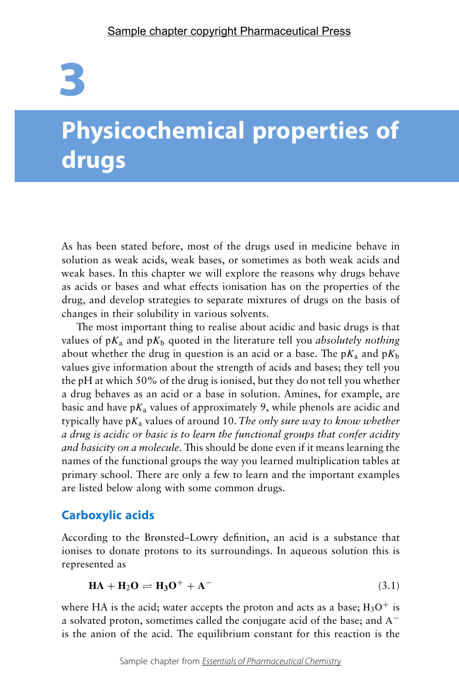# <span id="page-0-0"></span>**3**

# **Physicochemical properties of drugs**

As has been stated before, most of the drugs used in medicine behave in solution as weak acids, weak bases, or sometimes as both weak acids and weak bases. In this chapter we will explore the reasons why drugs behave as acids or bases and what effects ionisation has on the properties of the drug, and develop strategies to separate mixtures of drugs on the basis of changes in their solubility in various solvents.

The most important thing to realise about acidic and basic drugs is that values of  $pK_a$  and  $pK_b$  quoted in the literature tell you *absolutely nothing* about whether the drug in question is an acid or a base. The  $pK_a$  and  $pK_b$ values give information about the strength of acids and bases; they tell you the pH at which 50% of the drug is ionised, but they do not tell you whether a drug behaves as an acid or a base in solution. Amines, for example, are basic and have  $pK_a$  values of approximately 9, while phenols are acidic and typically have p*K*<sup>a</sup> values of around 10.*The only sure way to know whether a drug is acidic or basic is to learn the functional groups that confer acidity and basicity on a molecule*. This should be done even if it means learning the names of the functional groups the way you learned multiplication tables at primary school. There are only a few to learn and the important examples are listed below along with some common drugs.

# **Carboxylic acids**

According to the Brønsted–Lowry definition, an acid is a substance that ionises to donate protons to its surroundings. In aqueous solution this is represented as

$$
HA + H2O \rightleftharpoons H3O+ + A-
$$
 (3.1)

where HA is the acid; water accepts the proton and acts as a base;  $\text{H}_3\text{O}^+$  is a solvated proton, sometimes called the conjugate acid of the base; and A<sup>-</sup> is the anion of the acid. The equilibrium constant for this reaction is the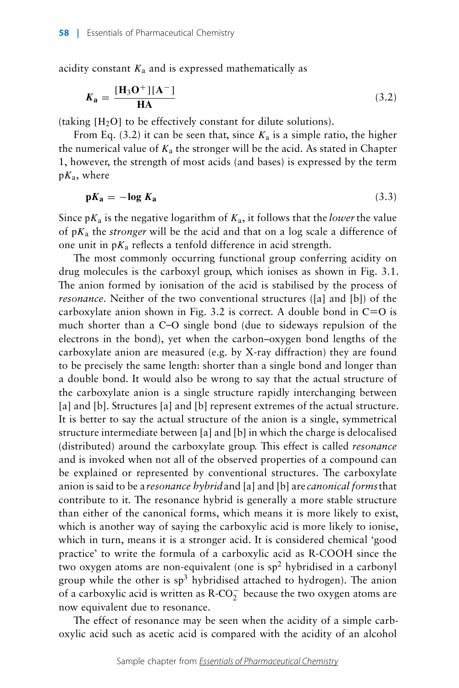acidity constant  $K_a$  and is expressed mathematically as

<span id="page-1-0"></span>
$$
K_{\mathbf{a}} = \frac{[\mathbf{H}_{3}\mathbf{O}^{+}][\mathbf{A}^{-}]}{\mathbf{H}\mathbf{A}}
$$
 (3.2)

(taking  $[H_2O]$  to be effectively constant for dilute solutions).

From Eq.  $(3.2)$  it can be seen that, since  $K_a$  is a simple ratio, the higher the numerical value of  $K_a$  the stronger will be the acid. As stated in [Chapter](#page-0-0) [1,](#page-0-0) however, the strength of most acids (and bases) is expressed by the term p*K*a, where

$$
pK_a = -\log K_a \tag{3.3}
$$

Since  $pK_a$  is the negative logarithm of  $K_a$ , it follows that the *lower* the value of p*K*<sup>a</sup> the *stronger* will be the acid and that on a log scale a difference of one unit in  $pK_a$  reflects a tenfold difference in acid strength.

The most commonly occurring functional group conferring acidity on drug molecules is the carboxyl group, which ionises as shown in [Fig. 3.1.](#page-2-0) The anion formed by ionisation of the acid is stabilised by the process of *resonance*. Neither of the two conventional structures ([a] and [b]) of the carboxylate anion shown in [Fig. 3.2](#page-2-1) is correct. A double bond in  $C=O$  is much shorter than a C–O single bond (due to sideways repulsion of the electrons in the bond), yet when the carbon–oxygen bond lengths of the carboxylate anion are measured (e.g. by X-ray diffraction) they are found to be precisely the same length: shorter than a single bond and longer than a double bond. It would also be wrong to say that the actual structure of the carboxylate anion is a single structure rapidly interchanging between [a] and [b]. Structures [a] and [b] represent extremes of the actual structure. It is better to say the actual structure of the anion is a single, symmetrical structure intermediate between [a] and [b] in which the charge is delocalised (distributed) around the carboxylate group. This effect is called *resonance* and is invoked when not all of the observed properties of a compound can be explained or represented by conventional structures. The carboxylate anion is said to be a*resonance hybrid*and [a] and [b] are*canonical forms*that contribute to it. The resonance hybrid is generally a more stable structure than either of the canonical forms, which means it is more likely to exist, which is another way of saying the carboxylic acid is more likely to ionise, which in turn, means it is a stronger acid. It is considered chemical 'good practice' to write the formula of a carboxylic acid as R-COOH since the two oxygen atoms are non-equivalent (one is  $sp<sup>2</sup>$  hybridised in a carbonyl group while the other is  $sp^3$  hybridised attached to hydrogen). The anion of a carboxylic acid is written as  $R-CO_2^-$  because the two oxygen atoms are now equivalent due to resonance.

The effect of resonance may be seen when the acidity of a simple carboxylic acid such as acetic acid is compared with the acidity of an alcohol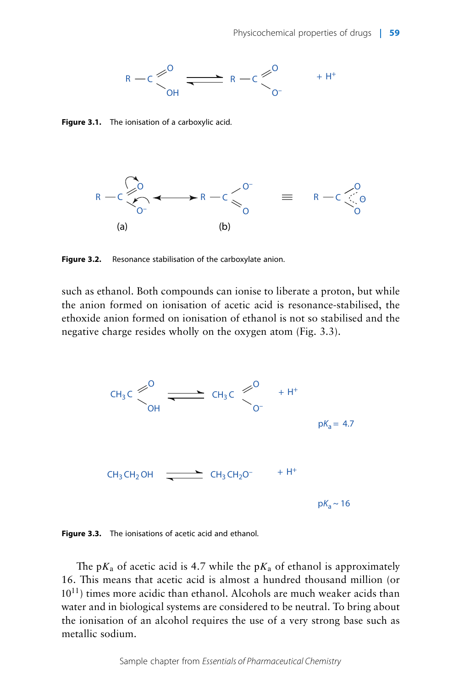<span id="page-2-0"></span>

**Figure 3.1.** The ionisation of a carboxylic acid.

<span id="page-2-1"></span>

**Figure 3.2.** Resonance stabilisation of the carboxylate anion.

such as ethanol. Both compounds can ionise to liberate a proton, but while the anion formed on ionisation of acetic acid is resonance-stabilised, the ethoxide anion formed on ionisation of ethanol is not so stabilised and the negative charge resides wholly on the oxygen atom [\(Fig. 3.3\)](#page-2-2).

<span id="page-2-2"></span>

**Figure 3.3.** The ionisations of acetic acid and ethanol.

The  $pK_a$  of acetic acid is 4.7 while the  $pK_a$  of ethanol is approximately 16. This means that acetic acid is almost a hundred thousand million (or  $10^{11}$ ) times more acidic than ethanol. Alcohols are much weaker acids than water and in biological systems are considered to be neutral. To bring about the ionisation of an alcohol requires the use of a very strong base such as metallic sodium.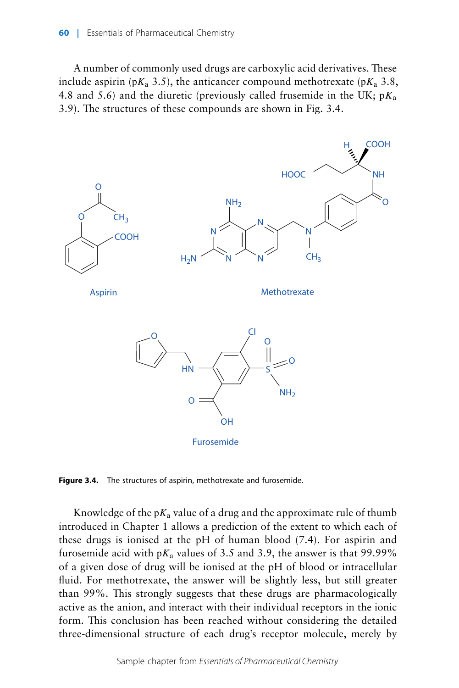A number of commonly used drugs are carboxylic acid derivatives. These include aspirin ( $pK_a$  3.5), the anticancer compound methotrexate ( $pK_a$  3.8, 4.8 and 5.6) and the diuretic (previously called frusemide in the UK; p*K*<sup>a</sup> 3.9). The structures of these compounds are shown in [Fig. 3.4.](#page-3-0)

<span id="page-3-0"></span>

**Figure 3.4.** The structures of aspirin, methotrexate and furosemide.

Knowledge of the  $pK_a$  value of a drug and the approximate rule of thumb introduced in [Chapter 1](#page-0-0) allows a prediction of the extent to which each of these drugs is ionised at the pH of human blood (7.4). For aspirin and furosemide acid with  $pK_a$  values of 3.5 and 3.9, the answer is that 99.99% of a given dose of drug will be ionised at the pH of blood or intracellular fluid. For methotrexate, the answer will be slightly less, but still greater than 99%. This strongly suggests that these drugs are pharmacologically active as the anion, and interact with their individual receptors in the ionic form. This conclusion has been reached without considering the detailed three-dimensional structure of each drug's receptor molecule, merely by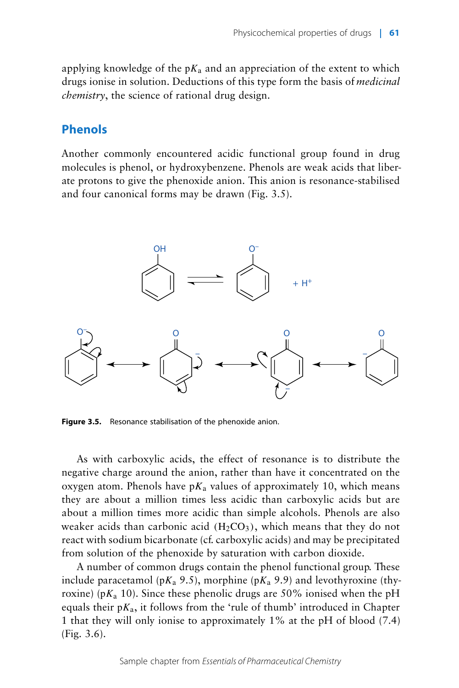applying knowledge of the  $pK_a$  and an appreciation of the extent to which drugs ionise in solution. Deductions of this type form the basis of *medicinal chemistry*, the science of rational drug design.

#### **Phenols**

Another commonly encountered acidic functional group found in drug molecules is phenol, or hydroxybenzene. Phenols are weak acids that liberate protons to give the phenoxide anion. This anion is resonance-stabilised and four canonical forms may be drawn [\(Fig. 3.5\)](#page-4-0).

<span id="page-4-0"></span>

**Figure 3.5.** Resonance stabilisation of the phenoxide anion.

As with carboxylic acids, the effect of resonance is to distribute the negative charge around the anion, rather than have it concentrated on the oxygen atom. Phenols have  $pK_a$  values of approximately 10, which means they are about a million times less acidic than carboxylic acids but are about a million times more acidic than simple alcohols. Phenols are also weaker acids than carbonic acid ( $H_2CO_3$ ), which means that they do not react with sodium bicarbonate (cf. carboxylic acids) and may be precipitated from solution of the phenoxide by saturation with carbon dioxide.

A number of common drugs contain the phenol functional group. These include paracetamol ( $pK_a$  9.5), morphine ( $pK_a$  9.9) and levothyroxine (thyroxine) ( $pK_a$  10). Since these phenolic drugs are 50% ionised when the pH equals their  $pK_a$ , it follows from the 'rule of thumb' introduced in Chapter 1 that they will only ionise to approximately 1% at the pH of blood (7.4) [\(Fig. 3.6\)](#page-5-0).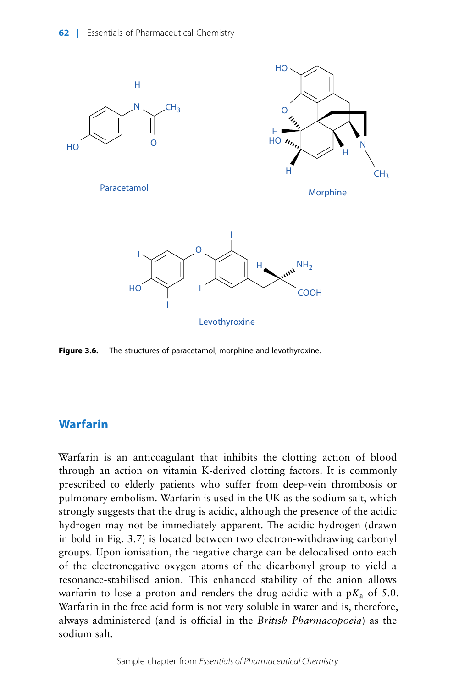<span id="page-5-0"></span>

**Figure 3.6.** The structures of paracetamol, morphine and levothyroxine.

#### **Warfarin**

Warfarin is an anticoagulant that inhibits the clotting action of blood through an action on vitamin K-derived clotting factors. It is commonly prescribed to elderly patients who suffer from deep-vein thrombosis or pulmonary embolism. Warfarin is used in the UK as the sodium salt, which strongly suggests that the drug is acidic, although the presence of the acidic hydrogen may not be immediately apparent. The acidic hydrogen (drawn in bold in [Fig. 3.7\)](#page-6-0) is located between two electron-withdrawing carbonyl groups. Upon ionisation, the negative charge can be delocalised onto each of the electronegative oxygen atoms of the dicarbonyl group to yield a resonance-stabilised anion. This enhanced stability of the anion allows warfarin to lose a proton and renders the drug acidic with a  $pK_a$  of 5.0. Warfarin in the free acid form is not very soluble in water and is, therefore, always administered (and is official in the *British Pharmacopoeia*) as the sodium salt.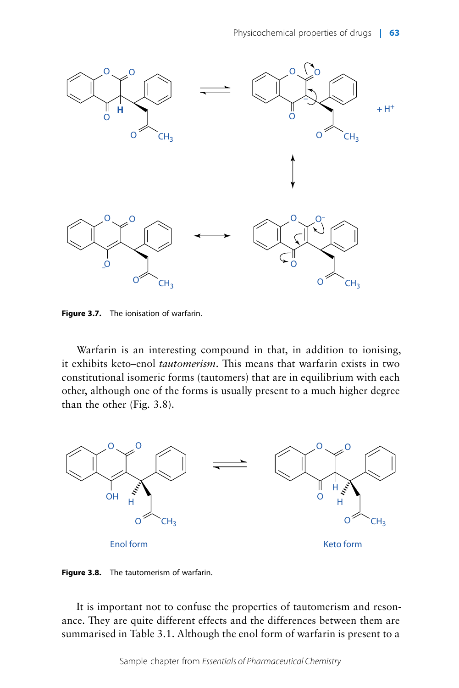<span id="page-6-0"></span>

**Figure 3.7.** The ionisation of warfarin.

Warfarin is an interesting compound in that, in addition to ionising, it exhibits keto–enol *tautomerism*. This means that warfarin exists in two constitutional isomeric forms (tautomers) that are in equilibrium with each other, although one of the forms is usually present to a much higher degree than the other [\(Fig. 3.8\)](#page-6-1).

<span id="page-6-1"></span>

**Figure 3.8.** The tautomerism of warfarin.

It is important not to confuse the properties of tautomerism and resonance. They are quite different effects and the differences between them are summarised in [Table 3.1.](#page-7-0) Although the enol form of warfarin is present to a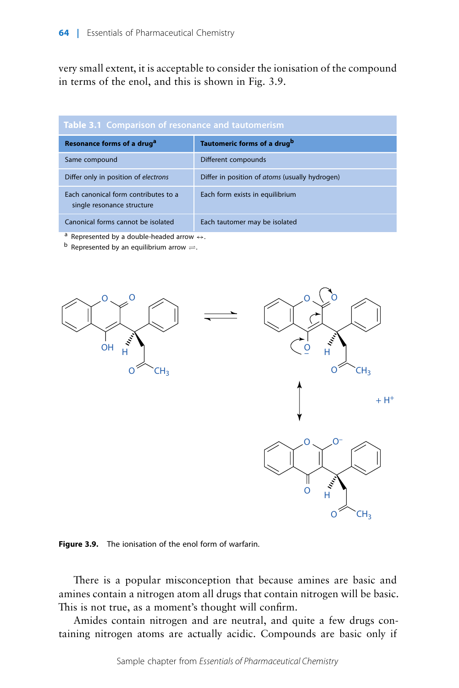very small extent, it is acceptable to consider the ionisation of the compound in terms of the enol, and this is shown in [Fig. 3.9.](#page-7-1)

<span id="page-7-0"></span>

| <b>Table 3.1 Comparison of resonance and tautomerism</b>           |                                                       |
|--------------------------------------------------------------------|-------------------------------------------------------|
| Resonance forms of a drug <sup>a</sup>                             | Tautomeric forms of a drugb                           |
| Same compound                                                      | Different compounds                                   |
| Differ only in position of electrons                               | Differ in position of <i>atoms</i> (usually hydrogen) |
| Each canonical form contributes to a<br>single resonance structure | Each form exists in equilibrium                       |
| Canonical forms cannot be isolated                                 | Each tautomer may be isolated                         |

<span id="page-7-2"></span>a Represented by a double-headed arrow  $\leftrightarrow$ .

<span id="page-7-3"></span> $^{\text{b}}$  Represented by an equilibrium arrow  $\rightleftharpoons$ .

<span id="page-7-1"></span>

**Figure 3.9.** The ionisation of the enol form of warfarin.

There is a popular misconception that because amines are basic and amines contain a nitrogen atom all drugs that contain nitrogen will be basic. This is not true, as a moment's thought will confirm.

Amides contain nitrogen and are neutral, and quite a few drugs containing nitrogen atoms are actually acidic. Compounds are basic only if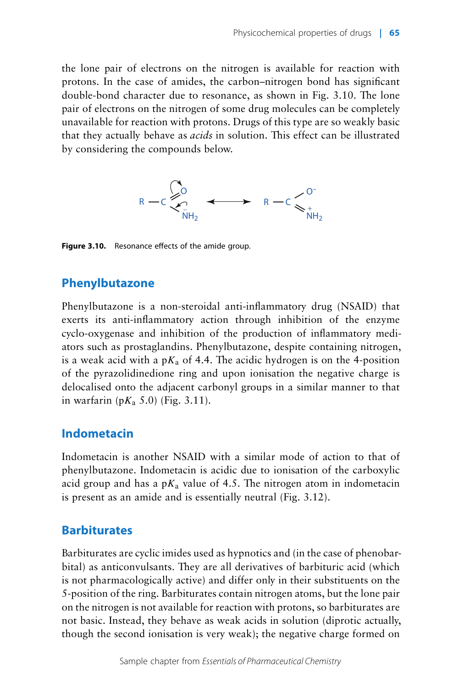the lone pair of electrons on the nitrogen is available for reaction with protons. In the case of amides, the carbon–nitrogen bond has significant double-bond character due to resonance, as shown in [Fig. 3.10.](#page-8-0) The lone pair of electrons on the nitrogen of some drug molecules can be completely unavailable for reaction with protons. Drugs of this type are so weakly basic that they actually behave as *acids* in solution. This effect can be illustrated by considering the compounds below.



<span id="page-8-0"></span>**Figure 3.10.** Resonance effects of the amide group.

#### **Phenylbutazone**

Phenylbutazone is a non-steroidal anti-inflammatory drug (NSAID) that exerts its anti-inflammatory action through inhibition of the enzyme cyclo-oxygenase and inhibition of the production of inflammatory mediators such as prostaglandins. Phenylbutazone, despite containing nitrogen, is a weak acid with a  $pK_a$  of 4.4. The acidic hydrogen is on the 4-position of the pyrazolidinedione ring and upon ionisation the negative charge is delocalised onto the adjacent carbonyl groups in a similar manner to that in warfarin ( $pK_a$  5.0) [\(Fig. 3.11\)](#page-9-0).

#### **Indometacin**

Indometacin is another NSAID with a similar mode of action to that of phenylbutazone. Indometacin is acidic due to ionisation of the carboxylic acid group and has a  $pK_a$  value of 4.5. The nitrogen atom in indometacin is present as an amide and is essentially neutral [\(Fig. 3.12\)](#page-10-0).

#### **Barbiturates**

Barbiturates are cyclic imides used as hypnotics and (in the case of phenobarbital) as anticonvulsants. They are all derivatives of barbituric acid (which is not pharmacologically active) and differ only in their substituents on the 5-position of the ring. Barbiturates contain nitrogen atoms, but the lone pair on the nitrogen is not available for reaction with protons, so barbiturates are not basic. Instead, they behave as weak acids in solution (diprotic actually, though the second ionisation is very weak); the negative charge formed on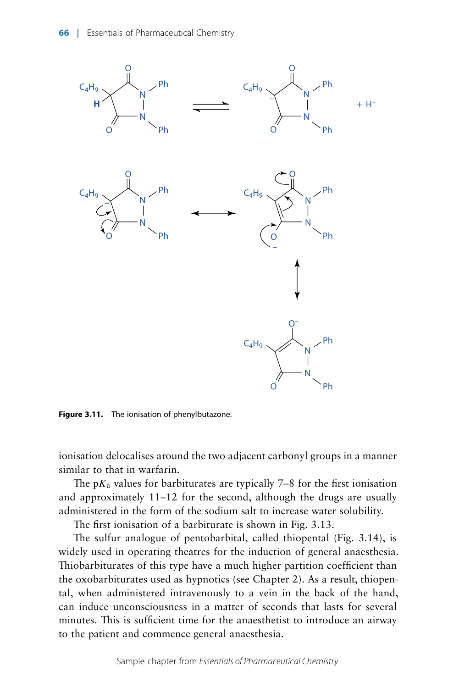<span id="page-9-0"></span>

**Figure 3.11.** The ionisation of phenylbutazone.

ionisation delocalises around the two adjacent carbonyl groups in a manner similar to that in warfarin.

The  $pK_a$  values for barbiturates are typically 7–8 for the first ionisation and approximately 11–12 for the second, although the drugs are usually administered in the form of the sodium salt to increase water solubility.

The first ionisation of a barbiturate is shown in [Fig. 3.13.](#page-11-0)

The sulfur analogue of pentobarbital, called thiopental [\(Fig. 3.14\)](#page-11-1), is widely used in operating theatres for the induction of general anaesthesia. Thiobarbiturates of this type have a much higher partition coefficient than the oxobarbiturates used as hypnotics (see [Chapter 2\)](#page-0-0). As a result, thiopental, when administered intravenously to a vein in the back of the hand, can induce unconsciousness in a matter of seconds that lasts for several minutes. This is sufficient time for the anaesthetist to introduce an airway to the patient and commence general anaesthesia.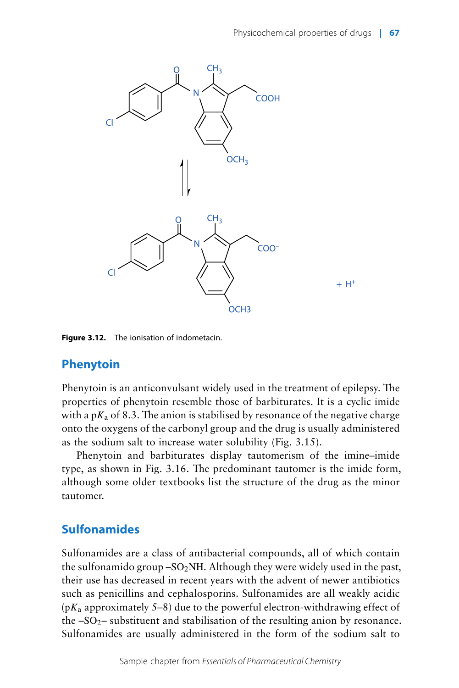<span id="page-10-0"></span>

**Figure 3.12.** The ionisation of indometacin.

#### **Phenytoin**

Phenytoin is an anticonvulsant widely used in the treatment of epilepsy. The properties of phenytoin resemble those of barbiturates. It is a cyclic imide with a  $pK_a$  of 8.3. The anion is stabilised by resonance of the negative charge onto the oxygens of the carbonyl group and the drug is usually administered as the sodium salt to increase water solubility [\(Fig. 3.15\)](#page-11-2).

Phenytoin and barbiturates display tautomerism of the imine–imide type, as shown in [Fig. 3.16.](#page-12-0) The predominant tautomer is the imide form, although some older textbooks list the structure of the drug as the minor tautomer.

#### **Sulfonamides**

Sulfonamides are a class of antibacterial compounds, all of which contain the sulfonamido group  $-SO<sub>2</sub>NH$ . Although they were widely used in the past, their use has decreased in recent years with the advent of newer antibiotics such as penicillins and cephalosporins. Sulfonamides are all weakly acidic  $(pK_a$  approximately 5–8) due to the powerful electron-withdrawing effect of the  $-SO<sub>2</sub>$ – substituent and stabilisation of the resulting anion by resonance. Sulfonamides are usually administered in the form of the sodium salt to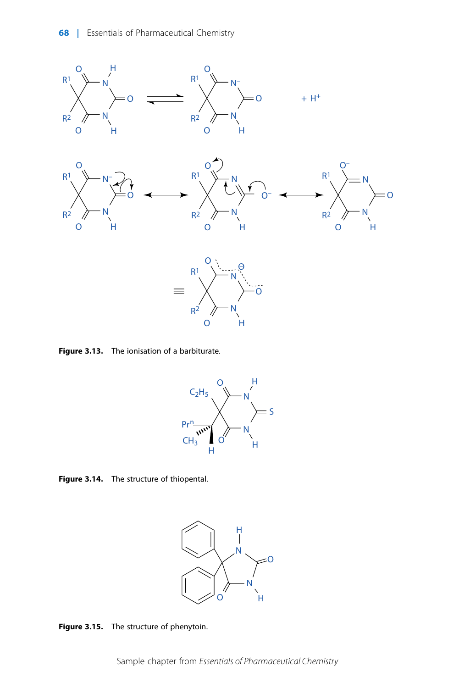<span id="page-11-0"></span>

<span id="page-11-1"></span>**Figure 3.13.** The ionisation of a barbiturate.



<span id="page-11-2"></span>**Figure 3.14.** The structure of thiopental.



**Figure 3.15.** The structure of phenytoin.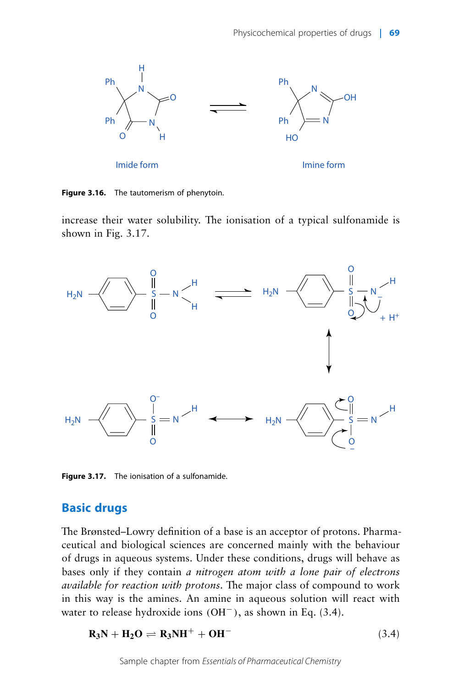<span id="page-12-0"></span>

**Figure 3.16.** The tautomerism of phenytoin.

increase their water solubility. The ionisation of a typical sulfonamide is shown in [Fig. 3.17.](#page-12-1)

<span id="page-12-1"></span>

**Figure 3.17.** The ionisation of a sulfonamide.

#### **Basic drugs**

The Brønsted–Lowry definition of a base is an acceptor of protons. Pharmaceutical and biological sciences are concerned mainly with the behaviour of drugs in aqueous systems. Under these conditions, drugs will behave as bases only if they contain *a nitrogen atom with a lone pair of electrons available for reaction with protons*. The major class of compound to work in this way is the amines. An amine in aqueous solution will react with water to release hydroxide ions (OH<sup>−</sup> ), as shown in [Eq. \(3.4\).](#page-12-2)

<span id="page-12-2"></span>
$$
\mathrm{R}_3\mathrm{N} + \mathrm{H}_2\mathrm{O} \rightleftharpoons \mathrm{R}_3\mathrm{N}\mathrm{H}^+ + \mathrm{OH}^- \tag{3.4}
$$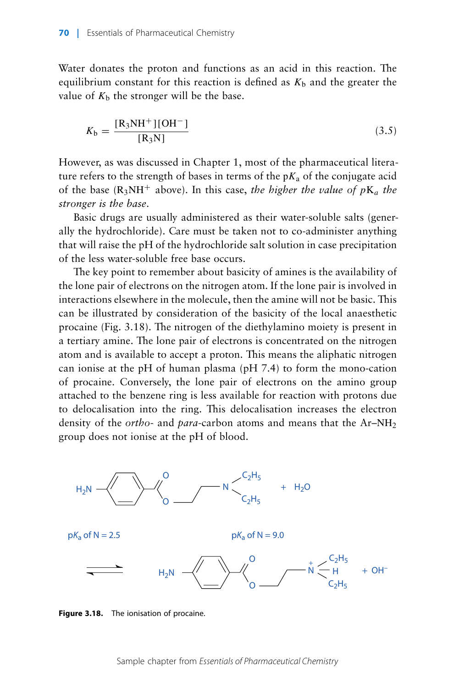Water donates the proton and functions as an acid in this reaction. The equilibrium constant for this reaction is defined as  $K<sub>b</sub>$  and the greater the value of  $K<sub>b</sub>$  the stronger will be the base.

$$
K_{\rm b} = \frac{[R_3NH^+][OH^-]}{[R_3N]}
$$
 (3.5)

However, as was discussed in [Chapter 1,](#page-0-0) most of the pharmaceutical literature refers to the strength of bases in terms of the  $pK_a$  of the conjugate acid of the base  $(R_3NH^+$  above). In this case, *the higher the value of*  $pK_a$  *the stronger is the base*.

Basic drugs are usually administered as their water-soluble salts (generally the hydrochloride). Care must be taken not to co-administer anything that will raise the pH of the hydrochloride salt solution in case precipitation of the less water-soluble free base occurs.

The key point to remember about basicity of amines is the availability of the lone pair of electrons on the nitrogen atom. If the lone pair is involved in interactions elsewhere in the molecule, then the amine will not be basic. This can be illustrated by consideration of the basicity of the local anaesthetic procaine [\(Fig. 3.18\)](#page-13-0). The nitrogen of the diethylamino moiety is present in a tertiary amine. The lone pair of electrons is concentrated on the nitrogen atom and is available to accept a proton. This means the aliphatic nitrogen can ionise at the pH of human plasma (pH 7.4) to form the mono-cation of procaine. Conversely, the lone pair of electrons on the amino group attached to the benzene ring is less available for reaction with protons due to delocalisation into the ring. This delocalisation increases the electron density of the *ortho*- and *para*-carbon atoms and means that the Ar–NH<sup>2</sup> group does not ionise at the pH of blood.

<span id="page-13-0"></span>

**Figure 3.18.** The ionisation of procaine.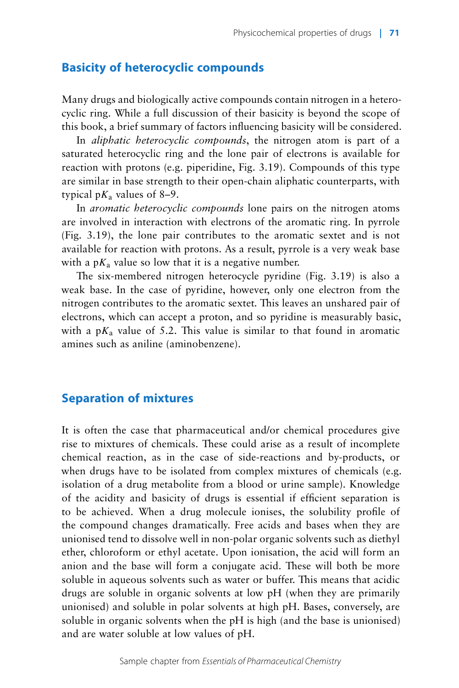#### **Basicity of heterocyclic compounds**

Many drugs and biologically active compounds contain nitrogen in a heterocyclic ring. While a full discussion of their basicity is beyond the scope of this book, a brief summary of factors influencing basicity will be considered.

In *aliphatic heterocyclic compounds*, the nitrogen atom is part of a saturated heterocyclic ring and the lone pair of electrons is available for reaction with protons (e.g. piperidine, [Fig. 3.19\)](#page-15-0). Compounds of this type are similar in base strength to their open-chain aliphatic counterparts, with typical  $pK_a$  values of 8–9.

In *aromatic heterocyclic compounds* lone pairs on the nitrogen atoms are involved in interaction with electrons of the aromatic ring. In pyrrole [\(Fig. 3.19\)](#page-15-0), the lone pair contributes to the aromatic sextet and is not available for reaction with protons. As a result, pyrrole is a very weak base with a  $pK_a$  value so low that it is a negative number.

The six-membered nitrogen heterocycle pyridine [\(Fig. 3.19\)](#page-15-0) is also a weak base. In the case of pyridine, however, only one electron from the nitrogen contributes to the aromatic sextet. This leaves an unshared pair of electrons, which can accept a proton, and so pyridine is measurably basic, with a  $pK_a$  value of 5.2. This value is similar to that found in aromatic amines such as aniline (aminobenzene).

### **Separation of mixtures**

It is often the case that pharmaceutical and/or chemical procedures give rise to mixtures of chemicals. These could arise as a result of incomplete chemical reaction, as in the case of side-reactions and by-products, or when drugs have to be isolated from complex mixtures of chemicals (e.g. isolation of a drug metabolite from a blood or urine sample). Knowledge of the acidity and basicity of drugs is essential if efficient separation is to be achieved. When a drug molecule ionises, the solubility profile of the compound changes dramatically. Free acids and bases when they are unionised tend to dissolve well in non-polar organic solvents such as diethyl ether, chloroform or ethyl acetate. Upon ionisation, the acid will form an anion and the base will form a conjugate acid. These will both be more soluble in aqueous solvents such as water or buffer. This means that acidic drugs are soluble in organic solvents at low pH (when they are primarily unionised) and soluble in polar solvents at high pH. Bases, conversely, are soluble in organic solvents when the pH is high (and the base is unionised) and are water soluble at low values of pH.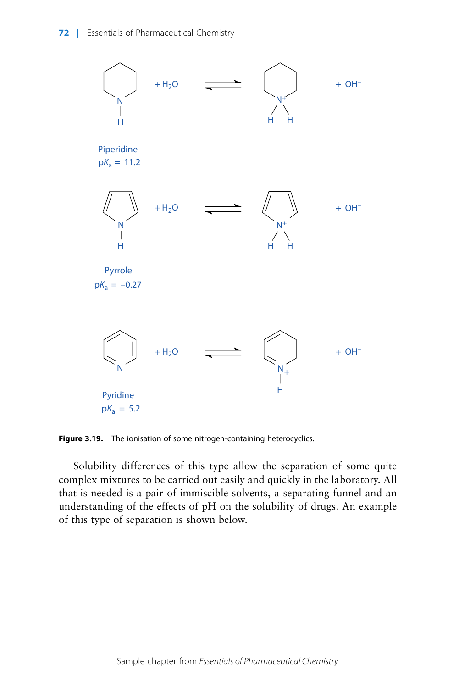<span id="page-15-0"></span>

**Figure 3.19.** The ionisation of some nitrogen-containing heterocyclics.

Solubility differences of this type allow the separation of some quite complex mixtures to be carried out easily and quickly in the laboratory. All that is needed is a pair of immiscible solvents, a separating funnel and an understanding of the effects of pH on the solubility of drugs. An example of this type of separation is shown below.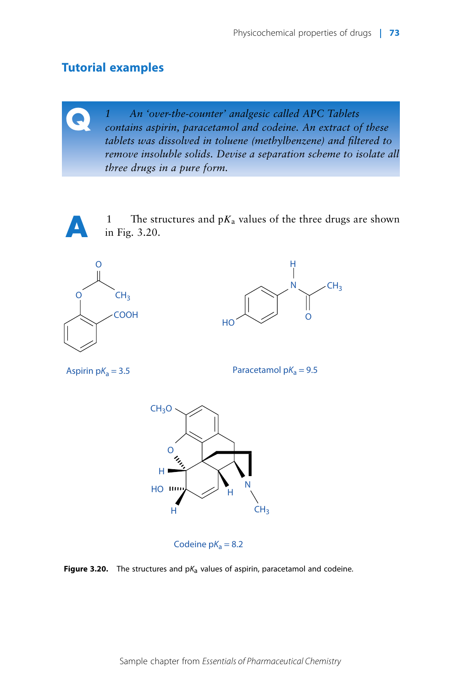# **Tutorial examples**

*1 An 'over-the-counter' analgesic called APC Tablets contains aspirin, paracetamol and codeine. An extract of these tablets was dissolved in toluene (methylbenzene) and filtered to remove insoluble solids. Devise a separation scheme to isolate all three drugs in a pure form.*



**Q**

1 The structures and  $pK_a$  values of the three drugs are shown in [Fig. 3.20.](#page-0-0)





Aspirin  $pK_a = 3.5$  Paracetamol  $pK_a = 9.5$ 



Codeine  $pK_a = 8.2$ 

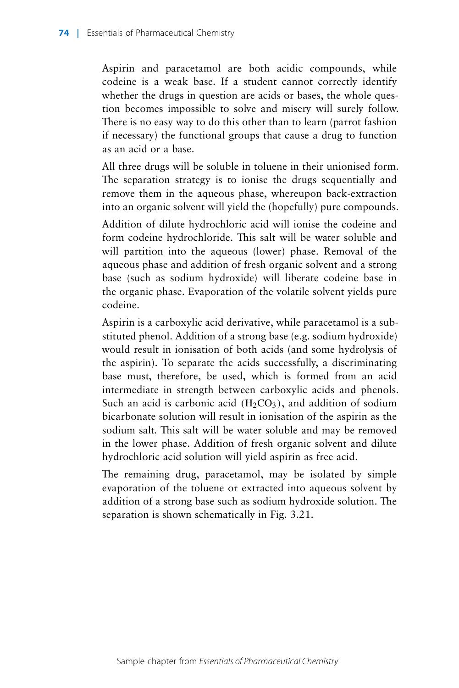Aspirin and paracetamol are both acidic compounds, while codeine is a weak base. If a student cannot correctly identify whether the drugs in question are acids or bases, the whole question becomes impossible to solve and misery will surely follow. There is no easy way to do this other than to learn (parrot fashion if necessary) the functional groups that cause a drug to function as an acid or a base.

All three drugs will be soluble in toluene in their unionised form. The separation strategy is to ionise the drugs sequentially and remove them in the aqueous phase, whereupon back-extraction into an organic solvent will yield the (hopefully) pure compounds.

Addition of dilute hydrochloric acid will ionise the codeine and form codeine hydrochloride. This salt will be water soluble and will partition into the aqueous (lower) phase. Removal of the aqueous phase and addition of fresh organic solvent and a strong base (such as sodium hydroxide) will liberate codeine base in the organic phase. Evaporation of the volatile solvent yields pure codeine.

Aspirin is a carboxylic acid derivative, while paracetamol is a substituted phenol. Addition of a strong base (e.g. sodium hydroxide) would result in ionisation of both acids (and some hydrolysis of the aspirin). To separate the acids successfully, a discriminating base must, therefore, be used, which is formed from an acid intermediate in strength between carboxylic acids and phenols. Such an acid is carbonic acid  $(H_2CO_3)$ , and addition of sodium bicarbonate solution will result in ionisation of the aspirin as the sodium salt. This salt will be water soluble and may be removed in the lower phase. Addition of fresh organic solvent and dilute hydrochloric acid solution will yield aspirin as free acid.

The remaining drug, paracetamol, may be isolated by simple evaporation of the toluene or extracted into aqueous solvent by addition of a strong base such as sodium hydroxide solution. The separation is shown schematically in [Fig. 3.21.](#page-0-0)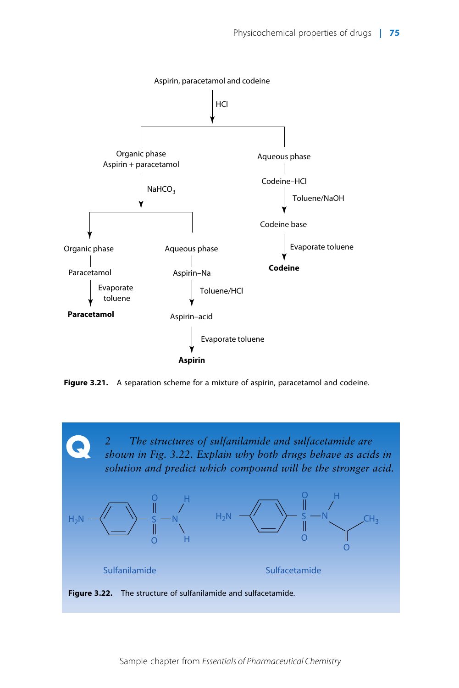

**Figure 3.21.** A separation scheme for a mixture of aspirin, paracetamol and codeine.

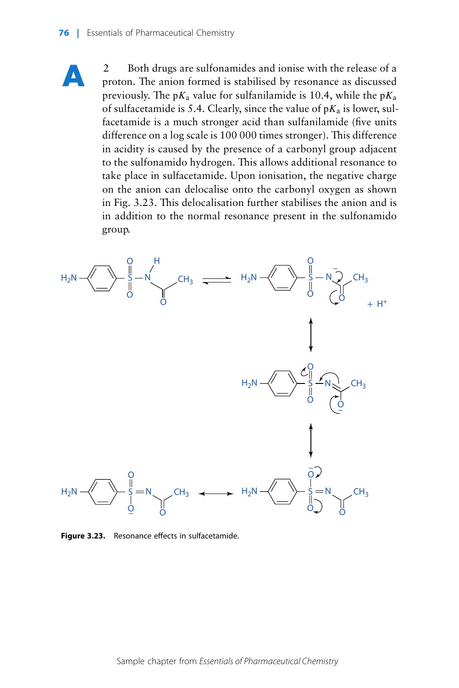**A**

2 Both drugs are sulfonamides and ionise with the release of a proton. The anion formed is stabilised by resonance as discussed previously. The  $pK_a$  value for sulfanilamide is 10.4, while the  $pK_a$ of sulfacetamide is 5.4. Clearly, since the value of  $pK_a$  is lower, sulfacetamide is a much stronger acid than sulfanilamide (five units difference on a log scale is 100 000 times stronger). This difference in acidity is caused by the presence of a carbonyl group adjacent to the sulfonamido hydrogen. This allows additional resonance to take place in sulfacetamide. Upon ionisation, the negative charge on the anion can delocalise onto the carbonyl oxygen as shown in [Fig. 3.23.](#page-0-0) This delocalisation further stabilises the anion and is in addition to the normal resonance present in the sulfonamido group.



**Figure 3.23.** Resonance effects in sulfacetamide.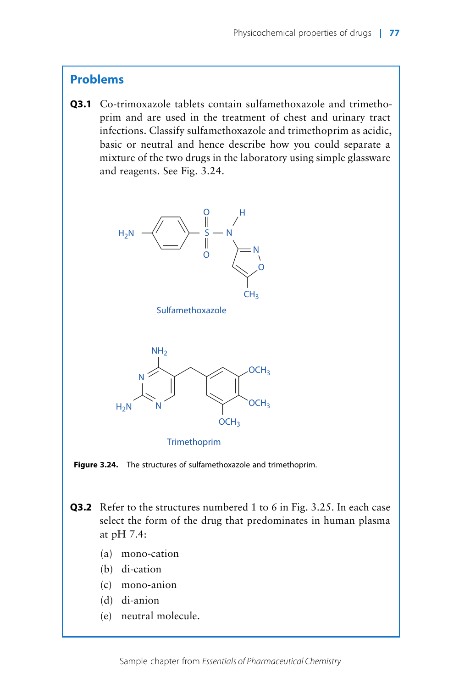#### **Problems**

**Q3.1** Co-trimoxazole tablets contain sulfamethoxazole and trimethoprim and are used in the treatment of chest and urinary tract infections. Classify sulfamethoxazole and trimethoprim as acidic, basic or neutral and hence describe how you could separate a mixture of the two drugs in the laboratory using simple glassware and reagents. See [Fig. 3.24.](#page-0-0)



Sulfamethoxazole



Trimethoprim



- **Q3.2** Refer to the structures numbered 1 to 6 in [Fig. 3.25.](#page-0-0) In each case select the form of the drug that predominates in human plasma at pH 7.4:
	- (a) mono-cation
	- (b) di-cation
	- (c) mono-anion
	- (d) di-anion
	- (e) neutral molecule.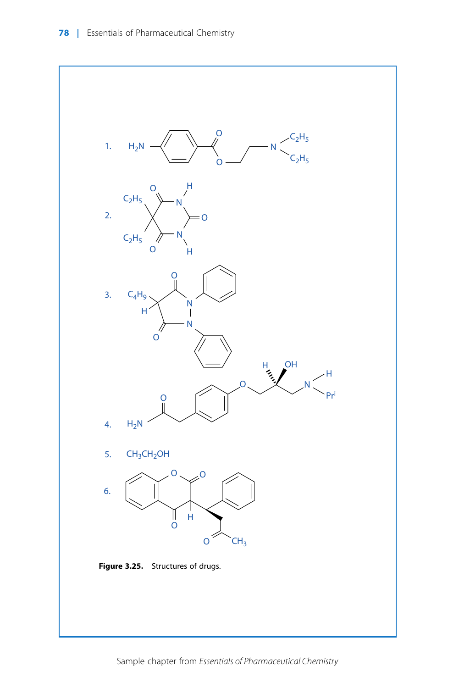